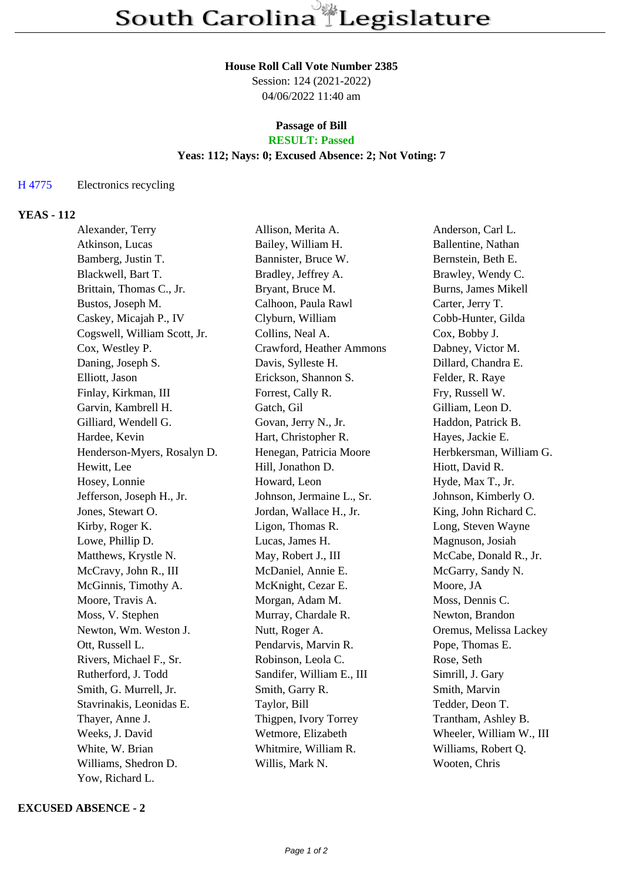#### **House Roll Call Vote Number 2385**

Session: 124 (2021-2022) 04/06/2022 11:40 am

#### **Passage of Bill RESULT: Passed**

# **Yeas: 112; Nays: 0; Excused Absence: 2; Not Voting: 7**

## H 4775 Electronics recycling

## **YEAS - 112**

| Alexander, Terry             | Allison, Merita A.        | Anderson, Carl L.          |
|------------------------------|---------------------------|----------------------------|
| Atkinson, Lucas              | Bailey, William H.        | Ballentine, Nathan         |
| Bamberg, Justin T.           | Bannister, Bruce W.       | Bernstein, Beth E.         |
| Blackwell, Bart T.           | Bradley, Jeffrey A.       | Brawley, Wendy C.          |
| Brittain, Thomas C., Jr.     | Bryant, Bruce M.          | <b>Burns, James Mikell</b> |
| Bustos, Joseph M.            | Calhoon, Paula Rawl       | Carter, Jerry T.           |
| Caskey, Micajah P., IV       | Clyburn, William          | Cobb-Hunter, Gilda         |
| Cogswell, William Scott, Jr. | Collins, Neal A.          | Cox, Bobby J.              |
| Cox, Westley P.              | Crawford, Heather Ammons  | Dabney, Victor M.          |
| Daning, Joseph S.            | Davis, Sylleste H.        | Dillard, Chandra E.        |
| Elliott, Jason               | Erickson, Shannon S.      | Felder, R. Raye            |
| Finlay, Kirkman, III         | Forrest, Cally R.         | Fry, Russell W.            |
| Garvin, Kambrell H.          | Gatch, Gil                | Gilliam, Leon D.           |
| Gilliard, Wendell G.         | Govan, Jerry N., Jr.      | Haddon, Patrick B.         |
| Hardee, Kevin                | Hart, Christopher R.      | Hayes, Jackie E.           |
| Henderson-Myers, Rosalyn D.  | Henegan, Patricia Moore   | Herbkersman, William G.    |
| Hewitt, Lee                  | Hill, Jonathon D.         | Hiott, David R.            |
| Hosey, Lonnie                | Howard, Leon              | Hyde, Max T., Jr.          |
| Jefferson, Joseph H., Jr.    | Johnson, Jermaine L., Sr. | Johnson, Kimberly O.       |
| Jones, Stewart O.            | Jordan, Wallace H., Jr.   | King, John Richard C.      |
| Kirby, Roger K.              | Ligon, Thomas R.          | Long, Steven Wayne         |
| Lowe, Phillip D.             | Lucas, James H.           | Magnuson, Josiah           |
| Matthews, Krystle N.         | May, Robert J., III       | McCabe, Donald R., Jr.     |
| McCravy, John R., III        | McDaniel, Annie E.        | McGarry, Sandy N.          |
| McGinnis, Timothy A.         | McKnight, Cezar E.        | Moore, JA                  |
| Moore, Travis A.             | Morgan, Adam M.           | Moss, Dennis C.            |
| Moss, V. Stephen             | Murray, Chardale R.       | Newton, Brandon            |
| Newton, Wm. Weston J.        | Nutt, Roger A.            | Oremus, Melissa Lackey     |
| Ott, Russell L.              | Pendarvis, Marvin R.      | Pope, Thomas E.            |
| Rivers, Michael F., Sr.      | Robinson, Leola C.        | Rose, Seth                 |
| Rutherford, J. Todd          | Sandifer, William E., III | Simrill, J. Gary           |
| Smith, G. Murrell, Jr.       | Smith, Garry R.           | Smith, Marvin              |
| Stavrinakis, Leonidas E.     | Taylor, Bill              | Tedder, Deon T.            |
| Thayer, Anne J.              | Thigpen, Ivory Torrey     | Trantham, Ashley B.        |
| Weeks, J. David              | Wetmore, Elizabeth        | Wheeler, William W., III   |
| White, W. Brian              | Whitmire, William R.      | Williams, Robert Q.        |
| Williams, Shedron D.         | Willis, Mark N.           | Wooten, Chris              |
| Yow, Richard L.              |                           |                            |

### **EXCUSED ABSENCE - 2**